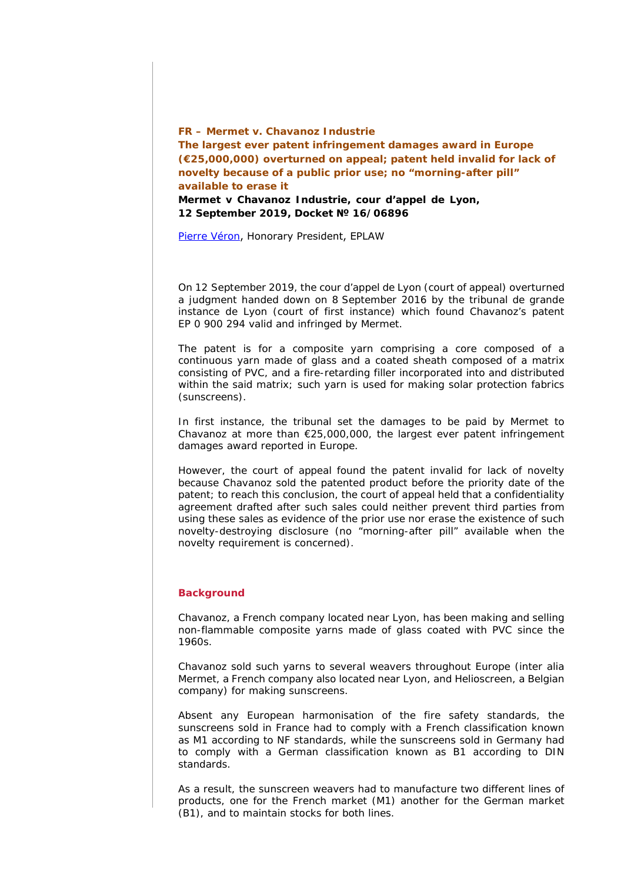**FR –** *Mermet v. Chavanoz Industrie* **The largest ever patent infringement damages award in Europe (€25,000,000) overturned on appeal; patent held invalid for lack of novelty because of a public prior use; no "***morning-after pill***" available to erase it**  *Mermet v Chavanoz Industrie, cour d'appel de Lyon***, 12 September 2019, Docket № 16/06896** 

[Pierre Véron](http://www.pierre-veron.com/), Honorary President, EPLAW

On 12 September 2019, the *cour d'appel de Lyon* (court of appeal) overturned a judgment handed down on 8 September 2016 by the *tribunal de grande instance de Lyon* (court of first instance) which found Chavanoz's patent EP 0 900 294 valid and infringed by Mermet.

The patent is for a composite yarn comprising a core composed of a continuous yarn made of glass and a coated sheath composed of a matrix consisting of PVC, and a fire-retarding filler incorporated into and distributed within the said matrix; such yarn is used for making solar protection fabrics (sunscreens).

In first instance, the *tribunal* set the damages to be paid by Mermet to Chavanoz at more than €25,000,000, the largest ever patent infringement damages award reported in Europe.

However, the court of appeal found the patent invalid for lack of novelty because Chavanoz sold the patented product before the priority date of the patent; to reach this conclusion, the court of appeal held that a confidentiality agreement drafted after such sales could neither prevent third parties from using these sales as evidence of the prior use nor erase the existence of such novelty-destroying disclosure (no "*morning-after pill*" available when the novelty requirement is concerned).

#### **Background**

Chavanoz, a French company located near Lyon, has been making and selling non-flammable composite yarns made of glass coated with PVC since the 1960s.

Chavanoz sold such yarns to several weavers throughout Europe (inter alia Mermet, a French company also located near Lyon, and Helioscreen, a Belgian company) for making sunscreens.

Absent any European harmonisation of the fire safety standards, the sunscreens sold in France had to comply with a French classification known as M1 according to NF standards, while the sunscreens sold in Germany had to comply with a German classification known as B1 according to DIN standards.

As a result, the sunscreen weavers had to manufacture two different lines of products, one for the French market (M1) another for the German market (B1), and to maintain stocks for both lines.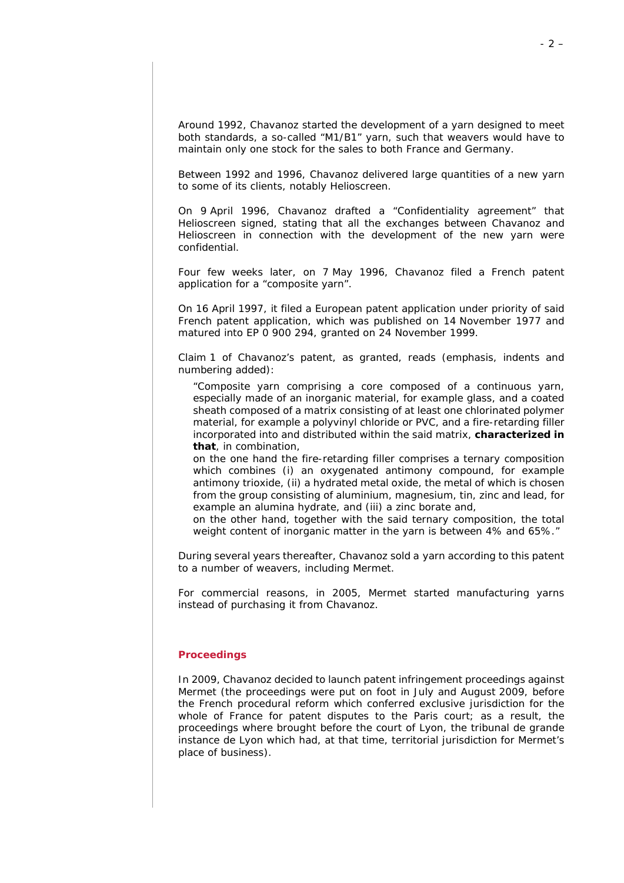Around 1992, Chavanoz started the development of a yarn designed to meet both standards, a so-called "M1/B1" yarn, such that weavers would have to maintain only one stock for the sales to both France and Germany.

Between 1992 and 1996, Chavanoz delivered large quantities of a new yarn to some of its clients, notably Helioscreen.

On 9 April 1996, Chavanoz drafted a "Confidentiality agreement" that Helioscreen signed, stating that all the exchanges between Chavanoz and Helioscreen in connection with the development of the new yarn were confidential.

Four few weeks later, on 7 May 1996, Chavanoz filed a French patent application for a "*composite yarn*".

On 16 April 1997, it filed a European patent application under priority of said French patent application, which was published on 14 November 1977 and matured into EP 0 900 294, granted on 24 November 1999.

Claim 1 of Chavanoz's patent, as granted, reads (emphasis, indents and numbering added):

*"Composite yarn comprising a core composed of a continuous yarn, especially made of an inorganic material, for example glass, and a coated sheath composed of a matrix consisting of at least one chlorinated polymer material, for example a polyvinyl chloride or PVC, and a fire-retarding filler incorporated into and distributed within the said matrix, characterized in that, in combination,* 

*on the one hand the fire-retarding filler comprises a ternary composition which combines (i) an oxygenated antimony compound, for example antimony trioxide, (ii) a hydrated metal oxide, the metal of which is chosen from the group consisting of aluminium, magnesium, tin, zinc and lead, for example an alumina hydrate, and (iii) a zinc borate and,* 

*on the other hand, together with the said ternary composition, the total weight content of inorganic matter in the yarn is between 4% and 65%."*

During several years thereafter, Chavanoz sold a yarn according to this patent to a number of weavers, including Mermet.

For commercial reasons, in 2005, Mermet started manufacturing yarns instead of purchasing it from Chavanoz.

#### **Proceedings**

In 2009, Chavanoz decided to launch patent infringement proceedings against Mermet (the proceedings were put on foot in July and August 2009, before the French procedural reform which conferred exclusive jurisdiction for the whole of France for patent disputes to the Paris court; as a result, the proceedings where brought before the court of Lyon, the *tribunal de grande instance de Lyon* which had, at that time, territorial jurisdiction for Mermet's place of business).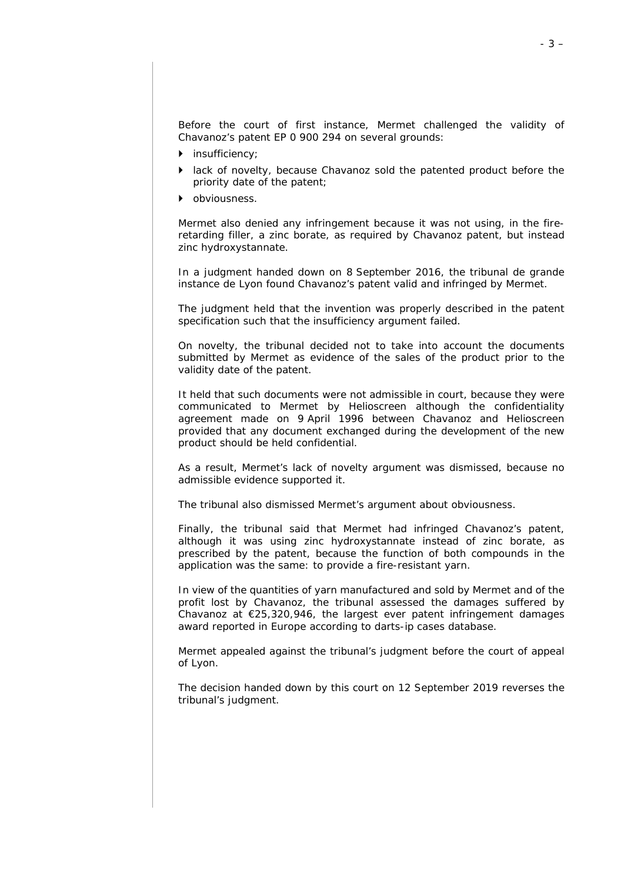Before the court of first instance, Mermet challenged the validity of Chavanoz's patent EP 0 900 294 on several grounds:

- insufficiency;
- lack of novelty, because Chavanoz sold the patented product before the priority date of the patent;
- obviousness.

Mermet also denied any infringement because it was not using, in the fireretarding filler, a zinc borate, as required by Chavanoz patent, but instead zinc hydroxystannate.

In a judgment handed down on 8 September 2016, the *tribunal de grande instance de Lyon* found Chavanoz's patent valid and infringed by Mermet.

The judgment held that the invention was properly described in the patent specification such that the insufficiency argument failed.

On novelty, the *tribunal* decided not to take into account the documents submitted by Mermet as evidence of the sales of the product prior to the validity date of the patent.

It held that such documents were not admissible in court, because they were communicated to Mermet by Helioscreen although the confidentiality agreement made on 9 April 1996 between Chavanoz and Helioscreen provided that any document exchanged during the development of the new product should be held confidential.

As a result, Mermet's lack of novelty argument was dismissed, because no admissible evidence supported it.

The *tribunal* also dismissed Mermet's argument about obviousness.

Finally, the *tribunal* said that Mermet had infringed Chavanoz's patent, although it was using zinc hydroxystannate instead of zinc borate, as prescribed by the patent, because the function of both compounds in the application was the same: to provide a fire-resistant yarn.

In view of the quantities of yarn manufactured and sold by Mermet and of the profit lost by Chavanoz, the *tribunal* assessed the damages suffered by Chavanoz at  $E$ 25,320,946, the largest ever patent infringement damages award reported in Europe according to darts-ip cases database.

Mermet appealed against the *tribunal*'s judgment before the court of appeal of Lyon.

The decision handed down by this court on 12 September 2019 reverses the *tribunal*'s judgment.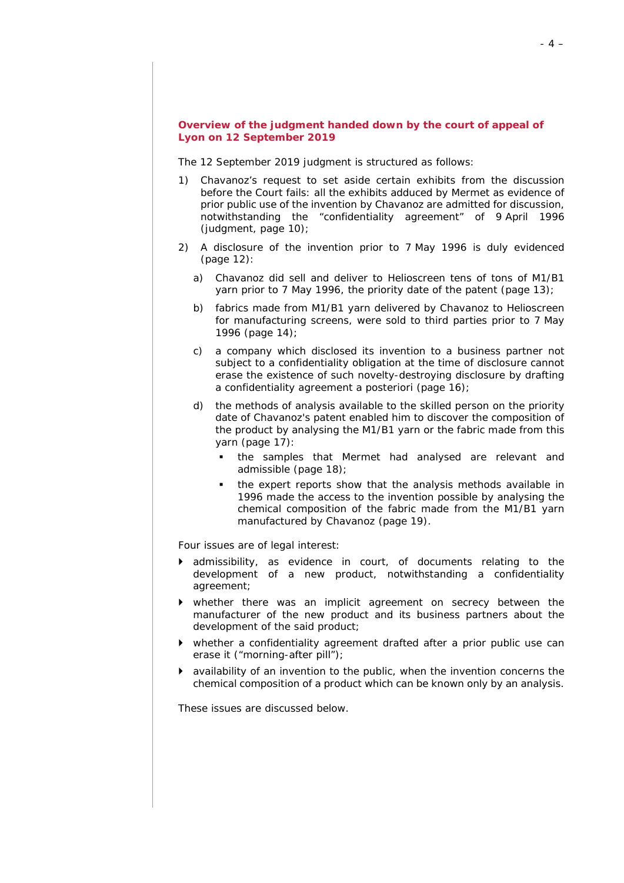# **Overview of the judgment handed down by the court of appeal of Lyon on 12 September 2019**

The 12 September 2019 judgment is structured as follows:

- 1) Chavanoz's request to set aside certain exhibits from the discussion before the Court fails: all the exhibits adduced by Mermet as evidence of prior public use of the invention by Chavanoz are admitted for discussion, notwithstanding the "confidentiality agreement" of 9 April 1996 (judgment, page 10);
- 2) A disclosure of the invention prior to 7 May 1996 is duly evidenced (page 12):
	- a) Chavanoz did sell and deliver to Helioscreen tens of tons of M1/B1 yarn prior to 7 May 1996, the priority date of the patent (page 13);
	- b) fabrics made from M1/B1 yarn delivered by Chavanoz to Helioscreen for manufacturing screens, were sold to third parties prior to 7 May 1996 (page 14);
	- c) a company which disclosed its invention to a business partner not subject to a confidentiality obligation at the time of disclosure cannot erase the existence of such novelty-destroying disclosure by drafting a confidentiality agreement *a posteriori* (page 16);
	- d) the methods of analysis available to the skilled person on the priority date of Chavanoz's patent enabled him to discover the composition of the product by analysing the M1/B1 yarn or the fabric made from this yarn (page 17):
		- the samples that Mermet had analysed are relevant and admissible (page 18);
		- the expert reports show that the analysis methods available in 1996 made the access to the invention possible by analysing the chemical composition of the fabric made from the M1/B1 yarn manufactured by Chavanoz (page 19).

Four issues are of legal interest:

- admissibility, as evidence in court, of documents relating to the development of a new product, notwithstanding a confidentiality agreement;
- whether there was an implicit agreement on secrecy between the manufacturer of the new product and its business partners about the development of the said product;
- whether a confidentiality agreement drafted after a prior public use can erase it ("*morning-after pill*");
- availability of an invention to the public, when the invention concerns the chemical composition of a product which can be known only by an analysis.

These issues are discussed below.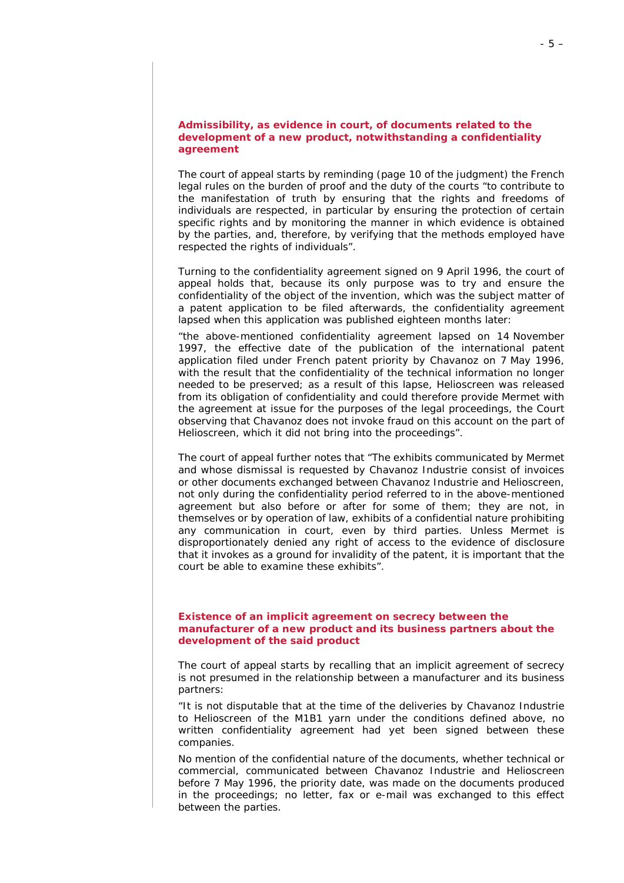## **Admissibility, as evidence in court, of documents related to the development of a new product, notwithstanding a confidentiality agreement**

The court of appeal starts by reminding (page 10 of the judgment) the French legal rules on the burden of proof and the duty of the courts "*to contribute to the manifestation of truth by ensuring that the rights and freedoms of individuals are respected, in particular by ensuring the protection of certain specific rights and by monitoring the manner in which evidence is obtained by the parties, and, therefore, by verifying that the methods employed have respected the rights of individuals*".

Turning to the confidentiality agreement signed on 9 April 1996, the court of appeal holds that, because its only purpose was to try and ensure the confidentiality of the object of the invention, which was the subject matter of a patent application to be filed afterwards, the confidentiality agreement lapsed when this application was published eighteen months later:

*"the above-mentioned confidentiality agreement lapsed on 14 November 1997, the effective date of the publication of the international patent application filed under French patent priority by Chavanoz on 7 May 1996, with the result that the confidentiality of the technical information no longer needed to be preserved; as a result of this lapse, Helioscreen was released from its obligation of confidentiality and could therefore provide Mermet with the agreement at issue for the purposes of the legal proceedings, the Court observing that Chavanoz does not invoke fraud on this account on the part of Helioscreen, which it did not bring into the proceedings".*

The court of appeal further notes that "*The exhibits communicated by Mermet and whose dismissal is requested by Chavanoz Industrie consist of invoices or other documents exchanged between Chavanoz Industrie and Helioscreen, not only during the confidentiality period referred to in the above-mentioned agreement but also before or after for some of them; they are not, in themselves or by operation of law, exhibits of a confidential nature prohibiting any communication in court, even by third parties. Unless Mermet is disproportionately denied any right of access to the evidence of disclosure that it invokes as a ground for invalidity of the patent, it is important that the court be able to examine these exhibits*".

# **Existence of an implicit agreement on secrecy between the manufacturer of a new product and its business partners about the development of the said product**

The court of appeal starts by recalling that an implicit agreement of secrecy is not presumed in the relationship between a manufacturer and its business partners:

*"It is not disputable that at the time of the deliveries by Chavanoz Industrie to Helioscreen of the M1B1 yarn under the conditions defined above, no written confidentiality agreement had yet been signed between these companies.*

*No mention of the confidential nature of the documents, whether technical or commercial, communicated between Chavanoz Industrie and Helioscreen before 7 May 1996, the priority date, was made on the documents produced in the proceedings; no letter, fax or e-mail was exchanged to this effect between the parties.*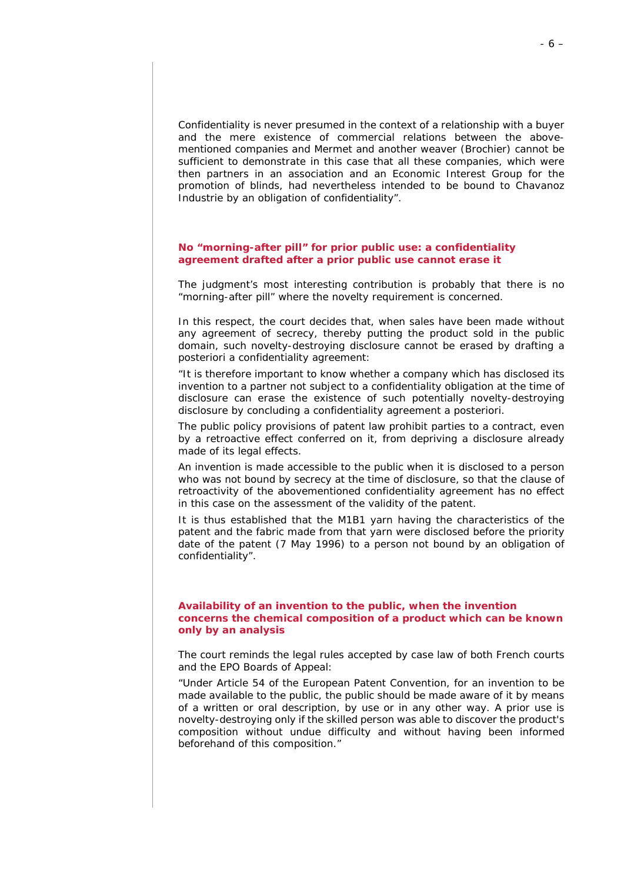*Confidentiality is never presumed in the context of a relationship with a buyer and the mere existence of commercial relations between the abovementioned companies and Mermet and another weaver (Brochier) cannot be sufficient to demonstrate in this case that all these companies, which were then partners in an association and an Economic Interest Group for the promotion of blinds, had nevertheless intended to be bound to Chavanoz Industrie by an obligation of confidentiality".*

# **No "***morning-after pill***" for prior public use: a confidentiality agreement drafted after a prior public use cannot erase it**

The judgment's most interesting contribution is probably that there is no "*morning-after pill*" where the novelty requirement is concerned.

In this respect, the court decides that, when sales have been made without any agreement of secrecy, thereby putting the product sold in the public domain, such novelty-destroying disclosure cannot be erased by drafting *a posteriori* a confidentiality agreement:

*"It is therefore important to know whether a company which has disclosed its invention to a partner not subject to a confidentiality obligation at the time of disclosure can erase the existence of such potentially novelty-destroying disclosure by concluding a confidentiality agreement a posteriori.*

*The public policy provisions of patent law prohibit parties to a contract, even by a retroactive effect conferred on it, from depriving a disclosure already made of its legal effects.*

*An invention is made accessible to the public when it is disclosed to a person who was not bound by secrecy at the time of disclosure, so that the clause of retroactivity of the abovementioned confidentiality agreement has no effect in this case on the assessment of the validity of the patent.*

*It is thus established that the M1B1 yarn having the characteristics of the patent and the fabric made from that yarn were disclosed before the priority*  date of the patent (7 May 1996) to a person not bound by an obligation of *confidentiality".*

# **Availability of an invention to the public, when the invention concerns the chemical composition of a product which can be known only by an analysis**

The court reminds the legal rules accepted by case law of both French courts and the EPO Boards of Appeal:

*"Under Article 54 of the European Patent Convention, for an invention to be made available to the public, the public should be made aware of it by means of a written or oral description, by use or in any other way. A prior use is novelty-destroying only if the skilled person was able to discover the product's composition without undue difficulty and without having been informed beforehand of this composition."*